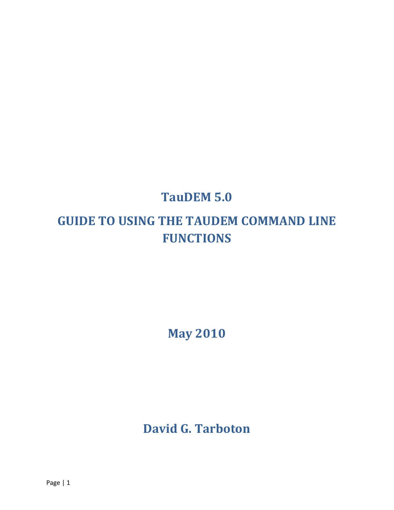# **TauDEM 5.0**

# **GUIDE TO USING THE TAUDEM COMMAND LINE FUNCTIONS**

**May 2010**

**David G. Tarboton**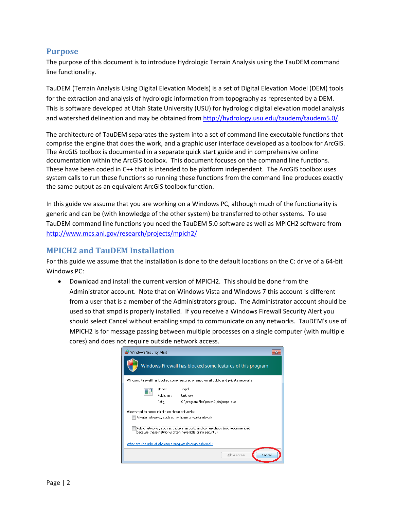# **Purpose**

The purpose of this document is to introduce Hydrologic Terrain Analysis using the TauDEM command line functionality.

TauDEM (Terrain Analysis Using Digital Elevation Models) is a set of Digital Elevation Model (DEM) tools for the extraction and analysis of hydrologic information from topography as represented by a DEM. This is software developed at Utah State University (USU) for hydrologic digital elevation model analysis and watershed delineation and may be obtained from http://hydrology.usu.edu/taudem/taudem5.0/.

The architecture of TauDEM separates the system into a set of command line executable functions that comprise the engine that does the work, and a graphic user interface developed as a toolbox for ArcGIS. The ArcGIS toolbox is documented in a separate quick start guide and in comprehensive online documentation within the ArcGIS toolbox. This document focuses on the command line functions. These have been coded in C++ that is intended to be platform independent. The ArcGIS toolbox uses system calls to run these functions so running these functions from the command line produces exactly the same output as an equivalent ArcGIS toolbox function.

In this guide we assume that you are working on a Windows PC, although much of the functionality is generic and can be (with knowledge of the other system) be transferred to other systems. To use TauDEM command line functions you need the TauDEM 5.0 software as well as MPICH2 software from http://www.mcs.anl.gov/research/projects/mpich2/

# **MPICH2 and TauDEM Installation**

For this guide we assume that the installation is done to the default locations on the C: drive of a 64‐bit Windows PC:

 Download and install the current version of MPICH2. This should be done from the Administrator account. Note that on Windows Vista and Windows 7 this account is different from a user that is a member of the Administrators group. The Administrator account should be used so that smpd is properly installed. If you receive a Windows Firewall Security Alert you should select Cancel without enabling smpd to communicate on any networks. TauDEM's use of MPICH2 is for message passing between multiple processes on a single computer (with multiple cores) and does not require outside network access.

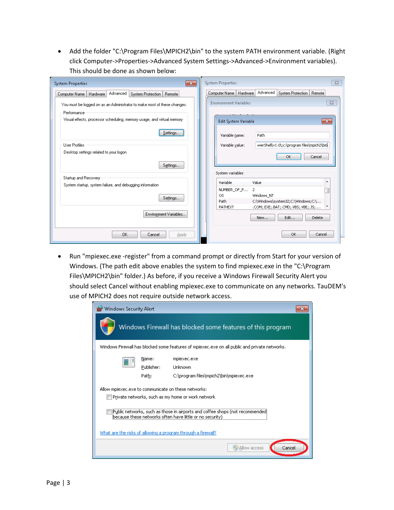Add the folder "C:\Program Files\MPICH2\bin" to the system PATH environment variable. (Right click Computer‐>Properties‐>Advanced System Settings‐>Advanced‐>Environment variables). This should be done as shown below:

| $\mathbf{x}$<br>System Properties                                                     | System Properties<br>$\Sigma$                                                 |
|---------------------------------------------------------------------------------------|-------------------------------------------------------------------------------|
| Advanced<br>System Protection   Remote<br>Computer Name<br>Hardware                   | Advanced<br>Computer Name   Hardware<br>System Protection   Remote            |
| You must be logged on as an Administrator to make most of these changes.              | <b>Environment Variables</b><br>$\Sigma$                                      |
| Performance<br>Visual effects, processor scheduling, memory usage, and virtual memory | $\mathbf{x}$<br>Edit System Variable                                          |
| Settings                                                                              | Variable name:<br>Path                                                        |
| <b>User Profiles</b><br>Desktop settings related to your logon                        | werShell\v1.0\;c:\program files\mpich2\bin<br>Variable value:<br>OK<br>Cancel |
| Settings                                                                              | System variables                                                              |
| Startup and Recovery                                                                  | Variable<br>Value                                                             |
| System startup, system failure, and debugging information                             | NUMBER_OF_P<br>$\mathbf{2}$<br>OS.<br>Windows NT                              |
| Settings                                                                              | C:\Windows\system32;C:\Windows;C:\<br>Path                                    |
| Environment Variables                                                                 | PATHEXT<br>.COM;.EXE;.BAT;.CMD;.VBS;.VBE;.JS;<br>Edit<br>Delete<br>New        |
| <b>OK</b><br>Cancel<br>Apply                                                          | OK<br>Cancel                                                                  |

 Run "mpiexec.exe ‐register" from a command prompt or directly from Start for your version of Windows. (The path edit above enables the system to find mpiexec.exe in the "C:\Program Files\MPICH2\bin" folder.) As before, if you receive a Windows Firewall Security Alert you should select Cancel without enabling mpiexec.exe to communicate on any networks. TauDEM's use of MPICH2 does not require outside network access.

|                                                                                                                                            | Windows Security Alert       |                                                                                               |  |  |  |
|--------------------------------------------------------------------------------------------------------------------------------------------|------------------------------|-----------------------------------------------------------------------------------------------|--|--|--|
| Windows Firewall has blocked some features of this program                                                                                 |                              |                                                                                               |  |  |  |
|                                                                                                                                            |                              | Windows Firewall has blocked some features of mpiexec.exe on all public and private networks. |  |  |  |
|                                                                                                                                            | Name:<br>Publisher:<br>Path: | mpiexec.exe<br>Unknown<br>C:\program files\mpich2\bin\mpiexec.exe                             |  |  |  |
| Allow mpiexec.exe to communicate on these networks:<br>Private networks, such as my home or work network                                   |                              |                                                                                               |  |  |  |
| Public networks, such as those in airports and coffee shops (not recommended)<br>because these networks often have little or no security). |                              |                                                                                               |  |  |  |
| What are the risks of allowing a program through a firewall?                                                                               |                              |                                                                                               |  |  |  |
|                                                                                                                                            |                              | Allow access<br>Cancel                                                                        |  |  |  |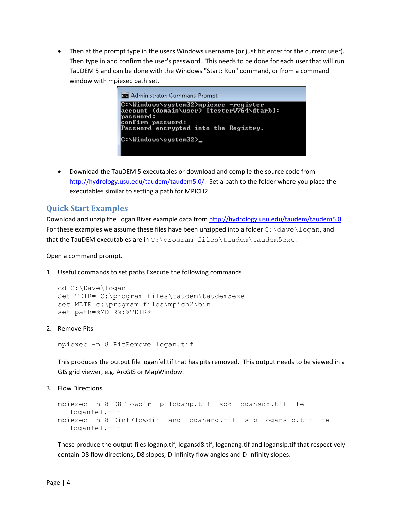Then at the prompt type in the users Windows username (or just hit enter for the current user). Then type in and confirm the user's password. This needs to be done for each user that will run TauDEM 5 and can be done with the Windows "Start: Run" command, or from a command window with mpiexec path set.



 Download the TauDEM 5 executables or download and compile the source code from http://hydrology.usu.edu/taudem/taudem5.0/. Set a path to the folder where you place the executables similar to setting a path for MPICH2.

# **Quick Start Examples**

Download and unzip the Logan River example data from http://hydrology.usu.edu/taudem/taudem5.0. For these examples we assume these files have been unzipped into a folder  $C:\dagger\ldots$  and that the TauDEM executables are in C:\program files\taudem\taudem5exe.

Open a command prompt.

1. Useful commands to set paths Execute the following commands

```
cd C:\Dave\logan 
Set TDIR= C:\program files\taudem\taudem5exe 
set MDIR=c:\program files\mpich2\bin 
set path=%MDIR%;%TDIR%
```
2. Remove Pits

mpiexec -n 8 PitRemove logan.tif

This produces the output file loganfel.tif that has pits removed. This output needs to be viewed in a GIS grid viewer, e.g. ArcGIS or MapWindow.

3. Flow Directions

```
mpiexec -n 8 D8Flowdir -p loganp.tif -sd8 logansd8.tif -fel 
  loganfel.tif 
mpiexec -n 8 DinfFlowdir -ang loganang.tif -slp loganslp.tif -fel 
   loganfel.tif
```
These produce the output files loganp.tif, logansd8.tif, loganang.tif and loganslp.tif that respectively contain D8 flow directions, D8 slopes, D-Infinity flow angles and D-Infinity slopes.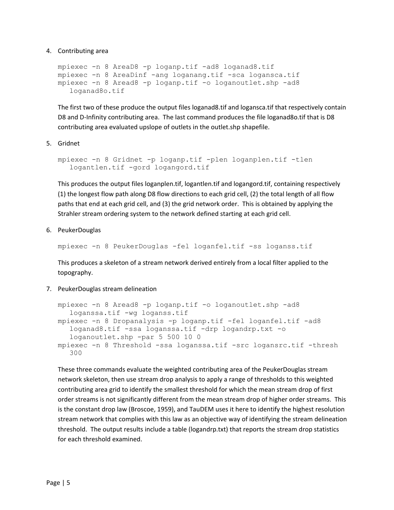4. Contributing area

```
mpiexec -n 8 AreaD8 -p loganp.tif -ad8 loganad8.tif 
mpiexec -n 8 AreaDinf -ang loganang.tif -sca logansca.tif 
mpiexec -n 8 Aread8 -p loganp.tif -o loganoutlet.shp -ad8 
   loganad8o.tif
```
The first two of these produce the output files loganad8.tif and logansca.tif that respectively contain D8 and D-Infinity contributing area. The last command produces the file loganad8o.tif that is D8 contributing area evaluated upslope of outlets in the outlet.shp shapefile.

5. Gridnet

```
mpiexec -n 8 Gridnet -p loganp.tif -plen loganplen.tif -tlen 
  logantlen.tif -gord logangord.tif
```
This produces the output files loganplen.tif, logantlen.tif and logangord.tif, containing respectively (1) the longest flow path along D8 flow directions to each grid cell, (2) the total length of all flow paths that end at each grid cell, and (3) the grid network order. This is obtained by applying the Strahler stream ordering system to the network defined starting at each grid cell.

6. PeukerDouglas

mpiexec -n 8 PeukerDouglas -fel loganfel.tif -ss loganss.tif

This produces a skeleton of a stream network derived entirely from a local filter applied to the topography.

7. PeukerDouglas stream delineation

```
mpiexec -n 8 Aread8 -p loganp.tif -o loganoutlet.shp -ad8 
  loganssa.tif -wg loganss.tif 
mpiexec -n 8 Dropanalysis -p loganp.tif -fel loganfel.tif -ad8 
  loganad8.tif -ssa loganssa.tif -drp logandrp.txt -o 
  loganoutlet.shp -par 5 500 10 0 
mpiexec -n 8 Threshold -ssa loganssa.tif -src logansrc.tif -thresh 
  300
```
These three commands evaluate the weighted contributing area of the PeukerDouglas stream network skeleton, then use stream drop analysis to apply a range of thresholds to this weighted contributing area grid to identify the smallest threshold for which the mean stream drop of first order streams is not significantly different from the mean stream drop of higher order streams. This is the constant drop law (Broscoe, 1959), and TauDEM uses it here to identify the highest resolution stream network that complies with this law as an objective way of identifying the stream delineation threshold. The output results include a table (logandrp.txt) that reports the stream drop statistics for each threshold examined.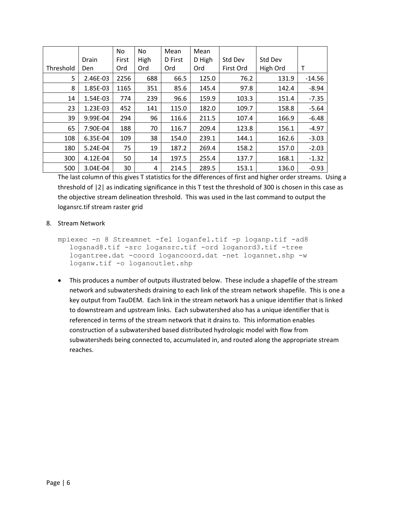|           |            | No.   | No   | Mean    | Mean   |           |          |          |
|-----------|------------|-------|------|---------|--------|-----------|----------|----------|
|           | Drain      | First | High | D First | D High | Std Dev   | Std Dev  |          |
| Threshold | <b>Den</b> | Ord   | Ord  | Ord     | Ord    | First Ord | High Ord | т        |
| 5         | 2.46E-03   | 2256  | 688  | 66.5    | 125.0  | 76.2      | 131.9    | $-14.56$ |
| 8         | 1.85E-03   | 1165  | 351  | 85.6    | 145.4  | 97.8      | 142.4    | $-8.94$  |
| 14        | 1.54E-03   | 774   | 239  | 96.6    | 159.9  | 103.3     | 151.4    | $-7.35$  |
| 23        | 1.23E-03   | 452   | 141  | 115.0   | 182.0  | 109.7     | 158.8    | $-5.64$  |
| 39        | 9.99E-04   | 294   | 96   | 116.6   | 211.5  | 107.4     | 166.9    | $-6.48$  |
| 65        | 7.90E-04   | 188   | 70   | 116.7   | 209.4  | 123.8     | 156.1    | $-4.97$  |
| 108       | 6.35E-04   | 109   | 38   | 154.0   | 239.1  | 144.1     | 162.6    | $-3.03$  |
| 180       | 5.24E-04   | 75    | 19   | 187.2   | 269.4  | 158.2     | 157.0    | $-2.03$  |
| 300       | 4.12E-04   | 50    | 14   | 197.5   | 255.4  | 137.7     | 168.1    | $-1.32$  |
| 500       | 3.04E-04   | 30    | 4    | 214.5   | 289.5  | 153.1     | 136.0    | $-0.93$  |

The last column of this gives T statistics for the differences of first and higher order streams. Using a threshold of |2| as indicating significance in this T test the threshold of 300 is chosen in this case as the objective stream delineation threshold. This was used in the last command to output the logansrc.tif stream raster grid

#### 8. Stream Network

```
mpiexec -n 8 Streamnet -fel loganfel.tif -p loganp.tif -ad8 
   loganad8.tif -src logansrc.tif -ord loganord3.tif -tree 
  logantree.dat -coord logancoord.dat -net logannet.shp -w 
  loganw.tif -o loganoutlet.shp
```
 This produces a number of outputs illustrated below. These include a shapefile of the stream network and subwatersheds draining to each link of the stream network shapefile. This is one a key output from TauDEM. Each link in the stream network has a unique identifier that is linked to downstream and upstream links. Each subwatershed also has a unique identifier that is referenced in terms of the stream network that it drains to. This information enables construction of a subwatershed based distributed hydrologic model with flow from subwatersheds being connected to, accumulated in, and routed along the appropriate stream reaches.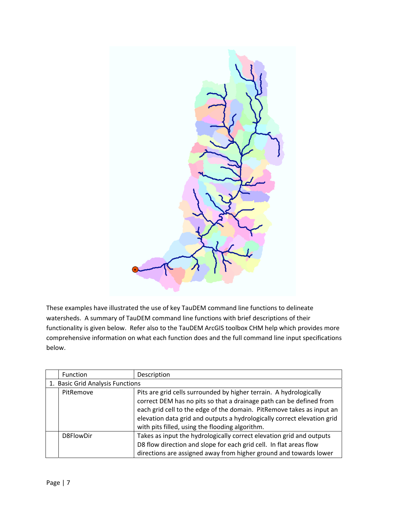

These examples have illustrated the use of key TauDEM command line functions to delineate watersheds. A summary of TauDEM command line functions with brief descriptions of their functionality is given below. Refer also to the TauDEM ArcGIS toolbox CHM help which provides more comprehensive information on what each function does and the full command line input specifications below.

| <b>Function</b>                  | Description                                                             |  |  |
|----------------------------------|-------------------------------------------------------------------------|--|--|
| 1. Basic Grid Analysis Functions |                                                                         |  |  |
| PitRemove                        | Pits are grid cells surrounded by higher terrain. A hydrologically      |  |  |
|                                  | correct DEM has no pits so that a drainage path can be defined from     |  |  |
|                                  | each grid cell to the edge of the domain. PitRemove takes as input an   |  |  |
|                                  | elevation data grid and outputs a hydrologically correct elevation grid |  |  |
|                                  | with pits filled, using the flooding algorithm.                         |  |  |
| D8FlowDir                        | Takes as input the hydrologically correct elevation grid and outputs    |  |  |
|                                  | D8 flow direction and slope for each grid cell. In flat areas flow      |  |  |
|                                  | directions are assigned away from higher ground and towards lower       |  |  |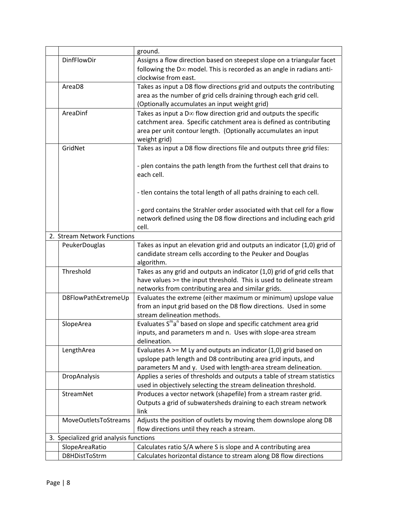|                                        | ground.                                                                                 |
|----------------------------------------|-----------------------------------------------------------------------------------------|
| DinfFlowDir                            | Assigns a flow direction based on steepest slope on a triangular facet                  |
|                                        | following the $D\infty$ model. This is recorded as an angle in radians anti-            |
|                                        | clockwise from east.                                                                    |
| AreaD <sub>8</sub>                     | Takes as input a D8 flow directions grid and outputs the contributing                   |
|                                        | area as the number of grid cells draining through each grid cell.                       |
|                                        | (Optionally accumulates an input weight grid)                                           |
| AreaDinf                               | Takes as input a $D\infty$ flow direction grid and outputs the specific                 |
|                                        | catchment area. Specific catchment area is defined as contributing                      |
|                                        | area per unit contour length. (Optionally accumulates an input                          |
|                                        | weight grid)                                                                            |
| GridNet                                | Takes as input a D8 flow directions file and outputs three grid files:                  |
|                                        |                                                                                         |
|                                        | - plen contains the path length from the furthest cell that drains to                   |
|                                        | each cell.                                                                              |
|                                        |                                                                                         |
|                                        | - tlen contains the total length of all paths draining to each cell.                    |
|                                        |                                                                                         |
|                                        | - gord contains the Strahler order associated with that cell for a flow                 |
|                                        | network defined using the D8 flow directions and including each grid                    |
|                                        | cell.                                                                                   |
| 2. Stream Network Functions            |                                                                                         |
| PeukerDouglas                          | Takes as input an elevation grid and outputs an indicator (1,0) grid of                 |
|                                        | candidate stream cells according to the Peuker and Douglas                              |
|                                        | algorithm.                                                                              |
| Threshold                              | Takes as any grid and outputs an indicator (1,0) grid of grid cells that                |
|                                        | have values >= the input threshold. This is used to delineate stream                    |
|                                        | networks from contributing area and similar grids.                                      |
| D8FlowPathExtremeUp                    | Evaluates the extreme (either maximum or minimum) upslope value                         |
|                                        | from an input grid based on the D8 flow directions. Used in some                        |
|                                        | stream delineation methods.                                                             |
| SlopeArea                              | Evaluates S <sup>m</sup> a <sup>n</sup> based on slope and specific catchment area grid |
|                                        | inputs, and parameters m and n. Uses with slope-area stream                             |
|                                        | delineation.                                                                            |
| LengthArea                             | Evaluates A $>=$ M Ly and outputs an indicator (1,0) grid based on                      |
|                                        | upslope path length and D8 contributing area grid inputs, and                           |
|                                        | parameters M and y. Used with length-area stream delineation.                           |
| DropAnalysis                           | Applies a series of thresholds and outputs a table of stream statistics                 |
|                                        | used in objectively selecting the stream delineation threshold.                         |
| StreamNet                              | Produces a vector network (shapefile) from a stream raster grid.                        |
|                                        | Outputs a grid of subwatersheds draining to each stream network                         |
|                                        | link                                                                                    |
| MoveOutletsToStreams                   | Adjusts the position of outlets by moving them downslope along D8                       |
|                                        | flow directions until they reach a stream.                                              |
| 3. Specialized grid analysis functions |                                                                                         |
| SlopeAreaRatio                         | Calculates ratio S/A where S is slope and A contributing area                           |
| D8HDistToStrm                          | Calculates horizontal distance to stream along D8 flow directions                       |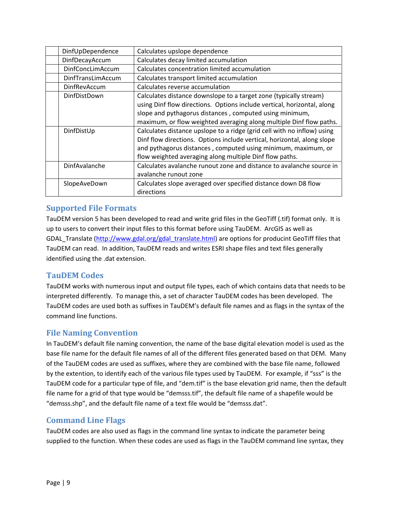| DinfUpDependence         | Calculates upslope dependence                                           |  |  |
|--------------------------|-------------------------------------------------------------------------|--|--|
| DinfDecayAccum           | Calculates decay limited accumulation                                   |  |  |
| <b>DinfConcLimAccum</b>  | Calculates concentration limited accumulation                           |  |  |
| <b>DinfTransLimAccum</b> | Calculates transport limited accumulation                               |  |  |
| <b>DinfRevAccum</b>      | Calculates reverse accumulation                                         |  |  |
| DinfDistDown             | Calculates distance downslope to a target zone (typically stream)       |  |  |
|                          | using Dinf flow directions. Options include vertical, horizontal, along |  |  |
|                          | slope and pythagorus distances, computed using minimum,                 |  |  |
|                          | maximum, or flow weighted averaging along multiple Dinf flow paths.     |  |  |
| DinfDistUp               | Calculates distance upslope to a ridge (grid cell with no inflow) using |  |  |
|                          | Dinf flow directions. Options include vertical, horizontal, along slope |  |  |
|                          | and pythagorus distances, computed using minimum, maximum, or           |  |  |
|                          | flow weighted averaging along multiple Dinf flow paths.                 |  |  |
| DinfAvalanche            | Calculates avalanche runout zone and distance to avalanche source in    |  |  |
|                          | avalanche runout zone                                                   |  |  |
| SlopeAveDown             | Calculates slope averaged over specified distance down D8 flow          |  |  |
|                          | directions                                                              |  |  |

# **Supported File Formats**

TauDEM version 5 has been developed to read and write grid files in the GeoTiff (.tif) format only. It is up to users to convert their input files to this format before using TauDEM. ArcGIS as well as GDAL\_Translate (http://www.gdal.org/gdal\_translate.html) are options for producint GeoTiff files that TauDEM can read. In addition, TauDEM reads and writes ESRI shape files and text files generally identified using the .dat extension.

# **TauDEM Codes**

TauDEM works with numerous input and output file types, each of which contains data that needs to be interpreted differently. To manage this, a set of character TauDEM codes has been developed. The TauDEM codes are used both as suffixes in TauDEM's default file names and as flags in the syntax of the command line functions.

# **File Naming Convention**

In TauDEM's default file naming convention, the name of the base digital elevation model is used as the base file name for the default file names of all of the different files generated based on that DEM. Many of the TauDEM codes are used as suffixes, where they are combined with the base file name, followed by the extention, to identify each of the various file types used by TauDEM. For example, if "sss" is the TauDEM code for a particular type of file, and "dem.tif" is the base elevation grid name, then the default file name for a grid of that type would be "demsss.tif", the default file name of a shapefile would be "demsss.shp", and the default file name of a text file would be "demsss.dat".

# **Command Line Flags**

TauDEM codes are also used as flags in the command line syntax to indicate the parameter being supplied to the function. When these codes are used as flags in the TauDEM command line syntax, they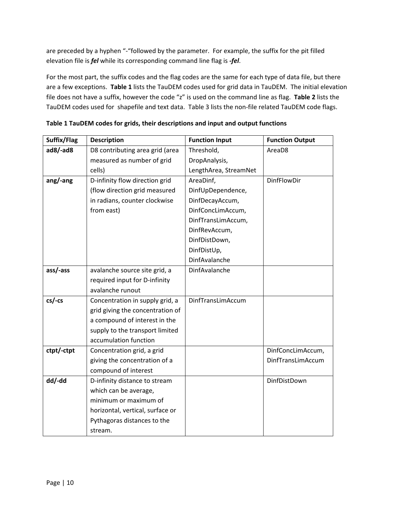are preceded by a hyphen "-"followed by the parameter. For example, the suffix for the pit filled elevation file is *fel* while its corresponding command line flag is *‐fel*.

For the most part, the suffix codes and the flag codes are the same for each type of data file, but there are a few exceptions. **Table 1** lists the TauDEM codes used for grid data in TauDEM. The initial elevation file does not have a suffix, however the code "z" is used on the command line as flag. **Table 2** lists the TauDEM codes used for shapefile and text data. Table 3 lists the non‐file related TauDEM code flags.

| Suffix/Flag | <b>Description</b>               | <b>Function Input</b> | <b>Function Output</b> |
|-------------|----------------------------------|-----------------------|------------------------|
| $ad8/-ad8$  | D8 contributing area grid (area  | Threshold,            | AreaD8                 |
|             | measured as number of grid       | DropAnalysis,         |                        |
|             | cells)                           | LengthArea, StreamNet |                        |
| ang/-ang    | D-infinity flow direction grid   | AreaDinf,             | <b>DinfFlowDir</b>     |
|             | (flow direction grid measured    | DinfUpDependence,     |                        |
|             | in radians, counter clockwise    | DinfDecayAccum,       |                        |
|             | from east)                       | DinfConcLimAccum,     |                        |
|             |                                  | DinfTransLimAccum,    |                        |
|             |                                  | DinfRevAccum,         |                        |
|             |                                  | DinfDistDown,         |                        |
|             |                                  | DinfDistUp,           |                        |
|             |                                  | DinfAvalanche         |                        |
| ass/-ass    | avalanche source site grid, a    | DinfAvalanche         |                        |
|             | required input for D-infinity    |                       |                        |
|             | avalanche runout                 |                       |                        |
| $cs$ -cs    | Concentration in supply grid, a  | DinfTransLimAccum     |                        |
|             | grid giving the concentration of |                       |                        |
|             | a compound of interest in the    |                       |                        |
|             | supply to the transport limited  |                       |                        |
|             | accumulation function            |                       |                        |
| ctpt/-ctpt  | Concentration grid, a grid       |                       | DinfConcLimAccum,      |
|             | giving the concentration of a    |                       | DinfTransLimAccum      |
|             | compound of interest             |                       |                        |
| dd/-dd      | D-infinity distance to stream    |                       | DinfDistDown           |
|             | which can be average,            |                       |                        |
|             | minimum or maximum of            |                       |                        |
|             | horizontal, vertical, surface or |                       |                        |
|             | Pythagoras distances to the      |                       |                        |
|             | stream.                          |                       |                        |

**Table 1 TauDEM codes for grids, their descriptions and input and output functions**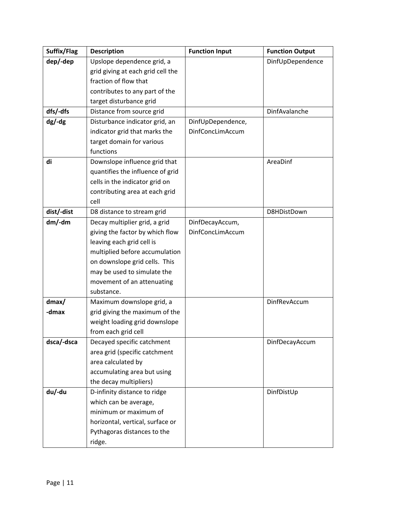| Suffix/Flag | <b>Description</b>                | <b>Function Input</b> | <b>Function Output</b> |
|-------------|-----------------------------------|-----------------------|------------------------|
| dep/-dep    | Upslope dependence grid, a        |                       | DinfUpDependence       |
|             | grid giving at each grid cell the |                       |                        |
|             | fraction of flow that             |                       |                        |
|             | contributes to any part of the    |                       |                        |
|             | target disturbance grid           |                       |                        |
| dfs/-dfs    | Distance from source grid         |                       | DinfAvalanche          |
| $dg$ -dg    | Disturbance indicator grid, an    | DinfUpDependence,     |                        |
|             | indicator grid that marks the     | DinfConcLimAccum      |                        |
|             | target domain for various         |                       |                        |
|             | functions                         |                       |                        |
| di          | Downslope influence grid that     |                       | AreaDinf               |
|             | quantifies the influence of grid  |                       |                        |
|             | cells in the indicator grid on    |                       |                        |
|             | contributing area at each grid    |                       |                        |
|             | cell                              |                       |                        |
| dist/-dist  | D8 distance to stream grid        |                       | D8HDistDown            |
| $dm$ /-dm   | Decay multiplier grid, a grid     | DinfDecayAccum,       |                        |
|             | giving the factor by which flow   | DinfConcLimAccum      |                        |
|             | leaving each grid cell is         |                       |                        |
|             | multiplied before accumulation    |                       |                        |
|             | on downslope grid cells. This     |                       |                        |
|             | may be used to simulate the       |                       |                        |
|             | movement of an attenuating        |                       |                        |
|             | substance.                        |                       |                        |
| $d$ max/    | Maximum downslope grid, a         |                       | DinfRevAccum           |
| -dmax       | grid giving the maximum of the    |                       |                        |
|             | weight loading grid downslope     |                       |                        |
|             | from each grid cell               |                       |                        |
| dsca/-dsca  | Decayed specific catchment        |                       | DinfDecayAccum         |
|             | area grid (specific catchment     |                       |                        |
|             | area calculated by                |                       |                        |
|             | accumulating area but using       |                       |                        |
|             | the decay multipliers)            |                       |                        |
| du/-du      | D-infinity distance to ridge      |                       | DinfDistUp             |
|             | which can be average,             |                       |                        |
|             | minimum or maximum of             |                       |                        |
|             | horizontal, vertical, surface or  |                       |                        |
|             | Pythagoras distances to the       |                       |                        |
|             | ridge.                            |                       |                        |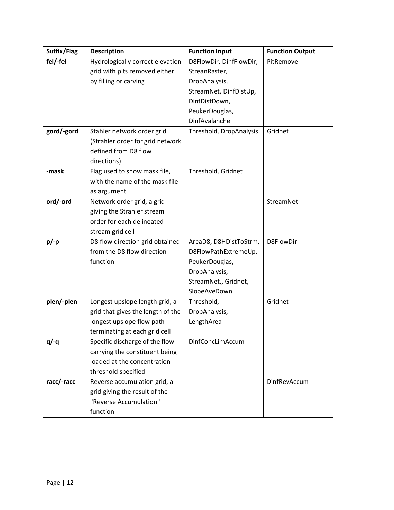| Suffix/Flag | <b>Description</b>                                                                                                                | <b>Function Input</b>                                                                                                                   | <b>Function Output</b> |
|-------------|-----------------------------------------------------------------------------------------------------------------------------------|-----------------------------------------------------------------------------------------------------------------------------------------|------------------------|
| fel/-fel    | Hydrologically correct elevation<br>grid with pits removed either<br>by filling or carving                                        | D8FlowDir, DinfFlowDir,<br>StreanRaster,<br>DropAnalysis,<br>StreamNet, DinfDistUp,<br>DinfDistDown,<br>PeukerDouglas,<br>DinfAvalanche | PitRemove              |
| gord/-gord  | Stahler network order grid<br>(Strahler order for grid network<br>defined from D8 flow<br>directions)                             | Threshold, DropAnalysis                                                                                                                 | Gridnet                |
| -mask       | Flag used to show mask file,<br>with the name of the mask file<br>as argument.                                                    | Threshold, Gridnet                                                                                                                      |                        |
| ord/-ord    | Network order grid, a grid<br>giving the Strahler stream<br>order for each delineated<br>stream grid cell                         |                                                                                                                                         | StreamNet              |
| $p/-p$      | D8 flow direction grid obtained<br>from the D8 flow direction<br>function                                                         | AreaD8, D8HDistToStrm,<br>D8FlowPathExtremeUp,<br>PeukerDouglas,<br>DropAnalysis,<br>StreamNet,, Gridnet,<br>SlopeAveDown               | D8FlowDir              |
| plen/-plen  | Longest upslope length grid, a<br>grid that gives the length of the<br>longest upslope flow path<br>terminating at each grid cell | Threshold,<br>DropAnalysis,<br>LengthArea                                                                                               | Gridnet                |
| $q$ /-q     | Specific discharge of the flow<br>carrying the constituent being<br>loaded at the concentration<br>threshold specified            | DinfConcLimAccum                                                                                                                        |                        |
| racc/-racc  | Reverse accumulation grid, a<br>grid giving the result of the<br>"Reverse Accumulation"<br>function                               |                                                                                                                                         | DinfRevAccum           |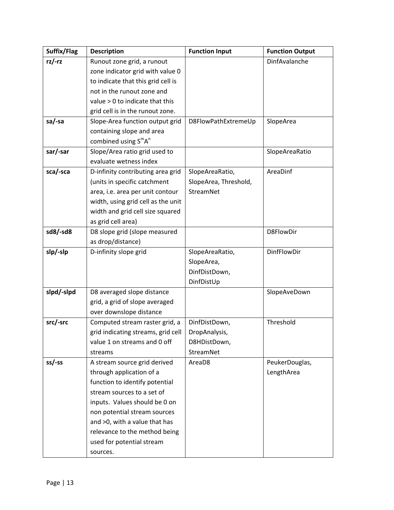| Suffix/Flag | <b>Description</b>                           | <b>Function Input</b> | <b>Function Output</b> |
|-------------|----------------------------------------------|-----------------------|------------------------|
| $rz$ /-rz   | Runout zone grid, a runout                   |                       | DinfAvalanche          |
|             | zone indicator grid with value 0             |                       |                        |
|             | to indicate that this grid cell is           |                       |                        |
|             | not in the runout zone and                   |                       |                        |
|             | value > 0 to indicate that this              |                       |                        |
|             | grid cell is in the runout zone.             |                       |                        |
| sa/-sa      | Slope-Area function output grid              | D8FlowPathExtremeUp   | SlopeArea              |
|             | containing slope and area                    |                       |                        |
|             | combined using S <sup>m</sup> A <sup>n</sup> |                       |                        |
| sar/-sar    | Slope/Area ratio grid used to                |                       | SlopeAreaRatio         |
|             | evaluate wetness index                       |                       |                        |
| sca/-sca    | D-infinity contributing area grid            | SlopeAreaRatio,       | AreaDinf               |
|             | (units in specific catchment                 | SlopeArea, Threshold, |                        |
|             | area, i.e. area per unit contour             | StreamNet             |                        |
|             | width, using grid cell as the unit           |                       |                        |
|             | width and grid cell size squared             |                       |                        |
|             | as grid cell area)                           |                       |                        |
| sd8/-sd8    | D8 slope grid (slope measured                |                       | D8FlowDir              |
|             | as drop/distance)                            |                       |                        |
| slp/-slp    | D-infinity slope grid                        | SlopeAreaRatio,       | DinfFlowDir            |
|             |                                              | SlopeArea,            |                        |
|             |                                              | DinfDistDown,         |                        |
|             |                                              | DinfDistUp            |                        |
| slpd/-slpd  | D8 averaged slope distance                   |                       | SlopeAveDown           |
|             | grid, a grid of slope averaged               |                       |                        |
|             | over downslope distance                      |                       |                        |
| src/-src    | Computed stream raster grid, a               | DinfDistDown,         | Threshold              |
|             | grid indicating streams, grid cell           | DropAnalysis,         |                        |
|             | value 1 on streams and 0 off                 | D8HDistDown,          |                        |
|             | streams                                      | StreamNet             |                        |
| $ss$ /-ss   | A stream source grid derived                 | AreaD8                | PeukerDouglas,         |
|             | through application of a                     |                       | LengthArea             |
|             | function to identify potential               |                       |                        |
|             | stream sources to a set of                   |                       |                        |
|             | inputs. Values should be 0 on                |                       |                        |
|             | non potential stream sources                 |                       |                        |
|             | and >0, with a value that has                |                       |                        |
|             | relevance to the method being                |                       |                        |
|             | used for potential stream                    |                       |                        |
|             | sources.                                     |                       |                        |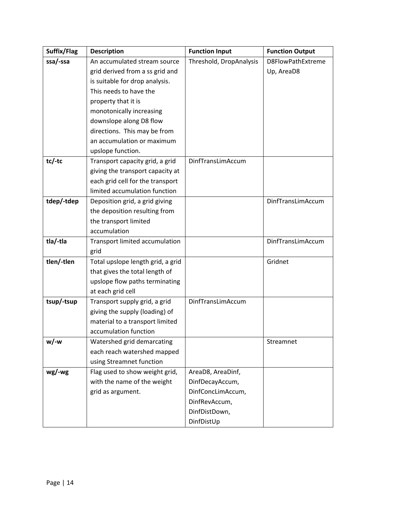| Suffix/Flag | <b>Description</b>                | <b>Function Input</b>   | <b>Function Output</b> |
|-------------|-----------------------------------|-------------------------|------------------------|
| ssa/-ssa    | An accumulated stream source      | Threshold, DropAnalysis | D8FlowPathExtreme      |
|             | grid derived from a ss grid and   |                         | Up, AreaD8             |
|             | is suitable for drop analysis.    |                         |                        |
|             | This needs to have the            |                         |                        |
|             | property that it is               |                         |                        |
|             | monotonically increasing          |                         |                        |
|             | downslope along D8 flow           |                         |                        |
|             | directions. This may be from      |                         |                        |
|             | an accumulation or maximum        |                         |                        |
|             | upslope function.                 |                         |                        |
| $tc$ /-tc   | Transport capacity grid, a grid   | DinfTransLimAccum       |                        |
|             | giving the transport capacity at  |                         |                        |
|             | each grid cell for the transport  |                         |                        |
|             | limited accumulation function     |                         |                        |
| tdep/-tdep  | Deposition grid, a grid giving    |                         | DinfTransLimAccum      |
|             | the deposition resulting from     |                         |                        |
|             | the transport limited             |                         |                        |
|             | accumulation                      |                         |                        |
| tla/-tla    | Transport limited accumulation    |                         | DinfTransLimAccum      |
|             | grid                              |                         |                        |
| tlen/-tlen  | Total upslope length grid, a grid |                         | Gridnet                |
|             | that gives the total length of    |                         |                        |
|             | upslope flow paths terminating    |                         |                        |
|             | at each grid cell                 |                         |                        |
| tsup/-tsup  | Transport supply grid, a grid     | DinfTransLimAccum       |                        |
|             | giving the supply (loading) of    |                         |                        |
|             | material to a transport limited   |                         |                        |
|             | accumulation function             |                         |                        |
| $w$ /-w     | Watershed grid demarcating        |                         | Streamnet              |
|             | each reach watershed mapped       |                         |                        |
|             | using Streamnet function          |                         |                        |
| wg/wg       | Flag used to show weight grid,    | AreaD8, AreaDinf,       |                        |
|             | with the name of the weight       | DinfDecayAccum,         |                        |
|             | grid as argument.                 | DinfConcLimAccum,       |                        |
|             |                                   | DinfRevAccum,           |                        |
|             |                                   | DinfDistDown,           |                        |
|             |                                   | DinfDistUp              |                        |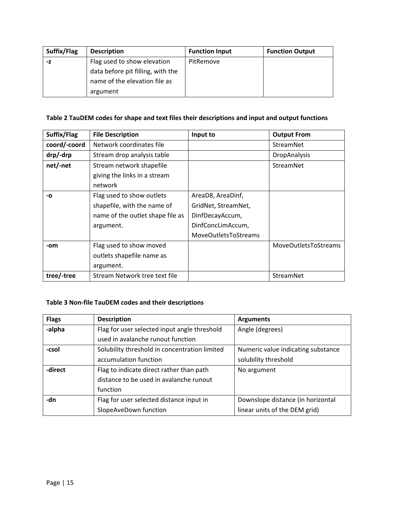| Suffix/Flag | <b>Description</b>                | <b>Function Input</b> | <b>Function Output</b> |
|-------------|-----------------------------------|-----------------------|------------------------|
| -Z          | Flag used to show elevation       | PitRemove             |                        |
|             | data before pit filling, with the |                       |                        |
|             | name of the elevation file as     |                       |                        |
|             | argument                          |                       |                        |

# **Table 2 TauDEM codes for shape and text files their descriptions and input and output functions**

| Suffix/Flag  | <b>File Description</b>          | Input to                    | <b>Output From</b>   |
|--------------|----------------------------------|-----------------------------|----------------------|
| coord/-coord | Network coordinates file         |                             | StreamNet            |
| drp/-drp     | Stream drop analysis table       |                             | <b>DropAnalysis</b>  |
| net/-net     | Stream network shapefile         |                             | StreamNet            |
|              | giving the links in a stream     |                             |                      |
|              | network                          |                             |                      |
| -0           | Flag used to show outlets        | AreaD8, AreaDinf,           |                      |
|              | shapefile, with the name of      | GridNet, StreamNet,         |                      |
|              | name of the outlet shape file as | DinfDecayAccum,             |                      |
|              | argument.                        | DinfConcLimAccum,           |                      |
|              |                                  | <b>MoveOutletsToStreams</b> |                      |
| -om          | Flag used to show moved          |                             | MoveOutletsToStreams |
|              | outlets shapefile name as        |                             |                      |
|              | argument.                        |                             |                      |
| tree/-tree   | Stream Network tree text file    |                             | StreamNet            |

# **Table 3 Non‐file TauDEM codes and their descriptions**

| <b>Flags</b> | <b>Description</b>                            | <b>Arguments</b>                   |
|--------------|-----------------------------------------------|------------------------------------|
| -alpha       | Flag for user selected input angle threshold  | Angle (degrees)                    |
|              | used in avalanche runout function             |                                    |
| -csol        | Solubility threshold in concentration limited | Numeric value indicating substance |
|              | accumulation function                         | solubility threshold               |
| -direct      | Flag to indicate direct rather than path      | No argument                        |
|              | distance to be used in avalanche runout       |                                    |
|              | function                                      |                                    |
| -dn          | Flag for user selected distance input in      | Downslope distance (in horizontal  |
|              | SlopeAveDown function                         | linear units of the DEM grid)      |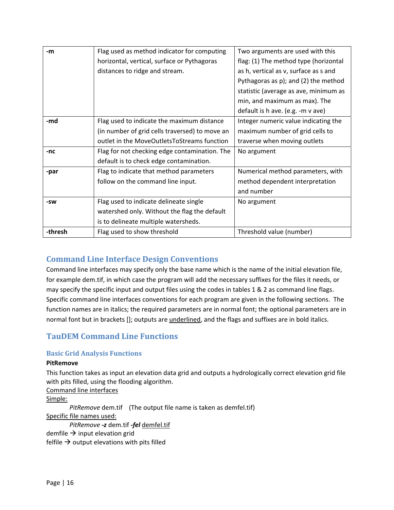| -m      | Flag used as method indicator for computing    | Two arguments are used with this      |
|---------|------------------------------------------------|---------------------------------------|
|         | horizontal, vertical, surface or Pythagoras    | flag: (1) The method type (horizontal |
|         | distances to ridge and stream.                 | as h, vertical as v, surface as s and |
|         |                                                | Pythagoras as p); and (2) the method  |
|         |                                                | statistic (average as ave, minimum as |
|         |                                                | min, and maximum as max). The         |
|         |                                                | default is h ave. (e.g. -m v ave)     |
| -md     | Flag used to indicate the maximum distance     | Integer numeric value indicating the  |
|         | (in number of grid cells traversed) to move an | maximum number of grid cells to       |
|         | outlet in the MoveOutletsToStreams function    | traverse when moving outlets          |
| -nc     | Flag for not checking edge contamination. The  | No argument                           |
|         | default is to check edge contamination.        |                                       |
| -par    | Flag to indicate that method parameters        | Numerical method parameters, with     |
|         | follow on the command line input.              | method dependent interpretation       |
|         |                                                | and number                            |
| -SW     | Flag used to indicate delineate single         | No argument                           |
|         | watershed only. Without the flag the default   |                                       |
|         | is to delineate multiple watersheds.           |                                       |
| -thresh | Flag used to show threshold                    | Threshold value (number)              |

# **Command Line Interface Design Conventions**

Command line interfaces may specify only the base name which is the name of the initial elevation file, for example dem.tif, in which case the program will add the necessary suffixes for the files it needs, or may specify the specific input and output files using the codes in tables 1 & 2 as command line flags. Specific command line interfaces conventions for each program are given in the following sections. The function names are in italics; the required parameters are in normal font; the optional parameters are in normal font but in brackets []; outputs are underlined, and the flags and suffixes are in bold italics.

# **TauDEM Command Line Functions**

# **Basic Grid Analysis Functions**

# **PitRemove**

This function takes as input an elevation data grid and outputs a hydrologically correct elevation grid file with pits filled, using the flooding algorithm.

Command line interfaces Simple: *PitRemove* dem.tif (The output file name is taken as demfel.tif) Specific file names used: *PitRemove ‐z* dem.tif *‐fel* demfel.tif demfile  $\rightarrow$  input elevation grid felfile  $\rightarrow$  output elevations with pits filled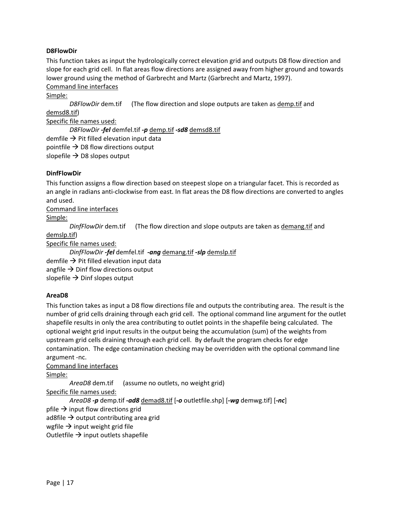## **D8FlowDir**

This function takes as input the hydrologically correct elevation grid and outputs D8 flow direction and slope for each grid cell. In flat areas flow directions are assigned away from higher ground and towards lower ground using the method of Garbrecht and Martz (Garbrecht and Martz, 1997). Command line interfaces

Simple:

*D8FlowDir* dem.tif (The flow direction and slope outputs are taken as demp.tif and demsd8.tif) Specific file names used:

*D8FlowDir ‐fel* demfel.tif *‐p* demp.tif *‐sd8* demsd8.tif demfile  $\rightarrow$  Pit filled elevation input data

pointfile  $\rightarrow$  D8 flow directions output

slopefile  $\rightarrow$  D8 slopes output

## **DinfFlowDir**

This function assigns a flow direction based on steepest slope on a triangular facet. This is recorded as an angle in radians anti‐clockwise from east. In flat areas the D8 flow directions are converted to angles and used.

Command line interfaces

Simple:

*DinfFlowDir* dem.tif (The flow direction and slope outputs are taken as demang.tif and

demslp.tif)

Specific file names used:

*DinfFlowDir ‐fel* demfel.tif *‐ang* demang.tif *‐slp* demslp.tif

demfile  $\rightarrow$  Pit filled elevation input data

angfile  $\rightarrow$  Dinf flow directions output

slopefile  $\rightarrow$  Dinf slopes output

# **AreaD8**

This function takes as input a D8 flow directions file and outputs the contributing area. The result is the number of grid cells draining through each grid cell. The optional command line argument for the outlet shapefile results in only the area contributing to outlet points in the shapefile being calculated. The optional weight grid input results in the output being the accumulation (sum) of the weights from upstream grid cells draining through each grid cell. By default the program checks for edge contamination. The edge contamination checking may be overridden with the optional command line argument ‐nc.

Command line interfaces

Simple:

*AreaD8* dem.tif (assume no outlets, no weight grid)

Specific file names used:

*AreaD8 ‐p* demp.tif *‐ad8* demad8.tif [*‐o* outletfile.shp] [*‐wg* demwg.tif] [*‐nc*]

pfile  $\rightarrow$  input flow directions grid

ad8file  $\rightarrow$  output contributing area grid

wgfile  $\rightarrow$  input weight grid file

Outletfile  $\rightarrow$  input outlets shapefile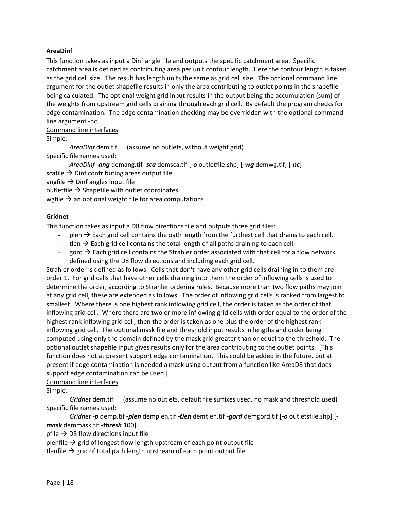## **AreaDinf**

This function takes as input a Dinf angle file and outputs the specific catchment area. Specific catchment area is defined as contributing area per unit contour length. Here the contour length is taken as the grid cell size. The result has length units the same as grid cell size. The optional command line argument for the outlet shapefile results in only the area contributing to outlet points in the shapefile being calculated. The optional weight grid input results in the output being the accumulation (sum) of the weights from upstream grid cells draining through each grid cell. By default the program checks for edge contamination. The edge contamination checking may be overridden with the optional command line argument ‐nc.

#### Command line interfaces

Simple:

*AreaDinf* dem.tif (assume no outlets, without weight grid)

Specific file names used:

*AreaDinf ‐ang* demang.tif *‐sca* demsca.tif [*‐o* outletfile.shp] [*‐wg* demwg.tif] [*‐nc*]

scafile  $\rightarrow$  Dinf contributing areas output file

angfile  $\rightarrow$  Dinf angles input file

outletfile  $\rightarrow$  Shapefile with outlet coordinates

wgfile  $\rightarrow$  an optional weight file for area computations

## **Gridnet**

This function takes as input a D8 flow directions file and outputs three grid files:

- $p$ len  $\rightarrow$  Each grid cell contains the path length from the furthest cell that drains to each cell.
- tlen  $\rightarrow$  Each grid cell contains the total length of all paths draining to each cell.
- gord  $\rightarrow$  Each grid cell contains the Strahler order associated with that cell for a flow network defined using the D8 flow directions and including each grid cell.

Strahler order is defined as follows. Cells that don't have any other grid cells draining in to them are order 1. For grid cells that have other cells draining into them the order of inflowing cells is used to determine the order, according to Strahler ordering rules. Because more than two flow paths may join at any grid cell, these are extended as follows. The order of inflowing grid cells is ranked from largest to smallest. Where there is one highest rank inflowing grid cell, the order is taken as the order of that inflowing grid cell. Where there are two or more inflowing grid cells with order equal to the order of the highest rank inflowing grid cell, then the order is taken as one plus the order of the highest rank inflowing grid cell. The optional mask file and threshold input results in lengths and order being computed using only the domain defined by the mask grid greater than or equal to the threshold. The optional outlet shapefile input gives results only for the area contributing to the outlet points. [This function does not at present support edge contamination. This could be added in the future, but at present if edge contamination is needed a mask using output from a function like AreaD8 that does support edge contamination can be used.]

#### Command line interfaces

Simple:

*Gridnet* dem.tif (assume no outlets, default file suffixes used, no mask and threshold used) Specific file names used:

*Gridnet ‐p* demp.tif *‐plen* demplen.tif *‐tlen* demtlen.tif *‐gord* demgord.tif [*‐o* outletsfile.shp] [*‐ mask* demmask.tif *‐thresh* 100]

pfile  $\rightarrow$  D8 flow directions input file

plenfile  $\rightarrow$  grid of longest flow length upstream of each point output file

tlenfile  $\rightarrow$  grid of total path length upstream of each point output file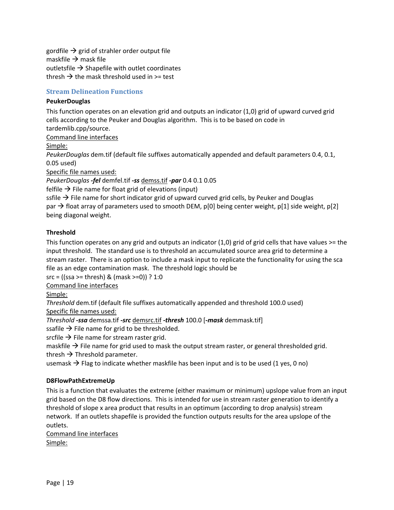gordfile  $\rightarrow$  grid of strahler order output file maskfile  $\rightarrow$  mask file outletsfile  $\rightarrow$  Shapefile with outlet coordinates thresh  $\rightarrow$  the mask threshold used in  $>=$  test

# **Stream Delineation Functions**

## **PeukerDouglas**

This function operates on an elevation grid and outputs an indicator (1,0) grid of upward curved grid cells according to the Peuker and Douglas algorithm. This is to be based on code in tardemlib.cpp/source.

Command line interfaces

Simple:

*PeukerDouglas* dem.tif (default file suffixes automatically appended and default parameters 0.4, 0.1, 0.05 used)

Specific file names used:

*PeukerDouglas ‐fel* demfel.tif *‐ss* demss.tif *‐par* 0.4 0.1 0.05

felfile  $\rightarrow$  File name for float grid of elevations (input)

ssfile  $\rightarrow$  File name for short indicator grid of upward curved grid cells, by Peuker and Douglas par  $\rightarrow$  float array of parameters used to smooth DEM, p[0] being center weight, p[1] side weight, p[2] being diagonal weight.

# **Threshold**

This function operates on any grid and outputs an indicator (1,0) grid of grid cells that have values >= the input threshold. The standard use is to threshold an accumulated source area grid to determine a stream raster. There is an option to include a mask input to replicate the functionality for using the sca file as an edge contamination mask. The threshold logic should be

 $src = ((ssa >=thresh) \& (mask >=0)) ? 1:0$ 

Command line interfaces

Simple:

*Threshold* dem.tif (default file suffixes automatically appended and threshold 100.0 used) Specific file names used:

*Threshold ‐ssa* demssa.tif *‐src* demsrc.tif *‐thresh* 100.0 [*‐mask* demmask.tif]

ssafile  $\rightarrow$  File name for grid to be thresholded.

srcfile  $\rightarrow$  File name for stream raster grid.

maskfile  $\rightarrow$  File name for grid used to mask the output stream raster, or general thresholded grid.

thresh  $\rightarrow$  Threshold parameter.

usemask  $\rightarrow$  Flag to indicate whether maskfile has been input and is to be used (1 yes, 0 no)

#### **D8FlowPathExtremeUp**

This is a function that evaluates the extreme (either maximum or minimum) upslope value from an input grid based on the D8 flow directions. This is intended for use in stream raster generation to identify a threshold of slope x area product that results in an optimum (according to drop analysis) stream network. If an outlets shapefile is provided the function outputs results for the area upslope of the outlets.

Command line interfaces Simple: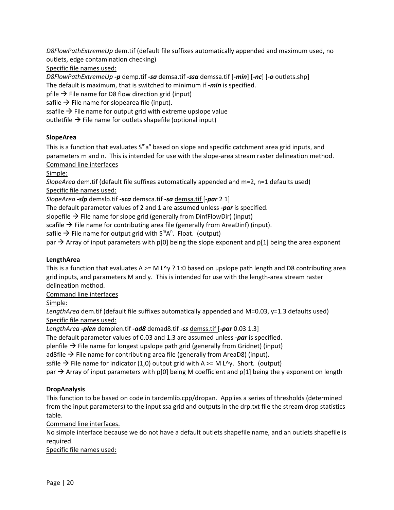*D8FlowPathExtremeUp* dem.tif (default file suffixes automatically appended and maximum used, no outlets, edge contamination checking)

Specific file names used:

*D8FlowPathExtremeUp ‐p* demp.tif *‐sa* demsa.tif *‐ssa* demssa.tif [*‐min*] [*‐nc*] [*‐o* outlets.shp] The default is maximum, that is switched to minimum if *‐min* is specified. pfile  $\rightarrow$  File name for D8 flow direction grid (input) safile  $\rightarrow$  File name for slopearea file (input).

ssafile  $\rightarrow$  File name for output grid with extreme upslope value

outletfile  $\rightarrow$  File name for outlets shapefile (optional input)

# **SlopeArea**

This is a function that evaluates  $S<sup>m</sup>a<sup>n</sup>$  based on slope and specific catchment area grid inputs, and parameters m and n. This is intended for use with the slope-area stream raster delineation method. Command line interfaces

Simple:

*SlopeArea* dem.tif (default file suffixes automatically appended and m=2, n=1 defaults used) Specific file names used:

*SlopeArea ‐slp* demslp.tif *‐sca* demsca.tif *‐sa* demsa.tif [*‐par* 2 1]

The default parameter values of 2 and 1 are assumed unless *‐par* is specified.

slopefile  $\rightarrow$  File name for slope grid (generally from DinfFlowDir) (input)

scafile  $\rightarrow$  File name for contributing area file (generally from AreaDinf) (input).

safile  $\rightarrow$  File name for output grid with S<sup>m</sup>A<sup>n</sup>. Float. (output)

par  $\rightarrow$  Array of input parameters with p[0] being the slope exponent and p[1] being the area exponent

# **LengthArea**

This is a function that evaluates  $A \ge M L^{\vee}$  ? 1:0 based on upslope path length and D8 contributing area grid inputs, and parameters M and y. This is intended for use with the length‐area stream raster delineation method.

Command line interfaces

Simple:

LengthArea dem.tif (default file suffixes automatically appended and M=0.03, y=1.3 defaults used) Specific file names used:

*LengthArea ‐plen* demplen.tif *‐ad8* demad8.tif *‐ss* demss.tif [*‐par* 0.03 1.3]

The default parameter values of 0.03 and 1.3 are assumed unless *‐par* is specified.

plenfile  $\rightarrow$  File name for longest upslope path grid (generally from Gridnet) (input)

ad8file  $\rightarrow$  File name for contributing area file (generally from AreaD8) (input).

ssfile  $\rightarrow$  File name for indicator (1,0) output grid with A  $>=$  M L<sup>^</sup>y. Short. (output)

par  $\rightarrow$  Array of input parameters with p[0] being M coefficient and p[1] being the y exponent on length

# **DropAnalysis**

This function to be based on code in tardemlib.cpp/dropan. Applies a series of thresholds (determined from the input parameters) to the input ssa grid and outputs in the drp.txt file the stream drop statistics table.

Command line interfaces.

No simple interface because we do not have a default outlets shapefile name, and an outlets shapefile is required.

Specific file names used: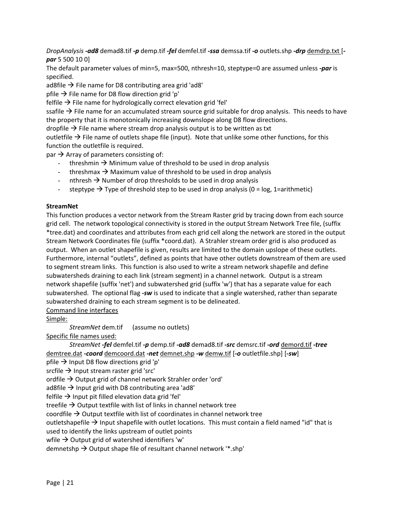*DropAnalysis ‐ad8* demad8.tif *‐p* demp.tif *‐fel* demfel.tif *‐ssa* demssa.tif *‐o* outlets.shp *‐drp* demdrp.txt [*‐ par* 5 500 10 0]

The default parameter values of min=5, max=500, nthresh=10, steptype=0 are assumed unless *‐par* is specified.

ad8file  $\rightarrow$  File name for D8 contributing area grid 'ad8'

pfile  $\rightarrow$  File name for D8 flow direction grid 'p'

felfile  $\rightarrow$  File name for hydrologically correct elevation grid 'fel'

ssafile  $\rightarrow$  File name for an accumulated stream source grid suitable for drop analysis. This needs to have the property that it is monotonically increasing downslope along D8 flow directions.

dropfile  $\rightarrow$  File name where stream drop analysis output is to be written as txt

outletfile  $\rightarrow$  File name of outlets shape file (input). Note that unlike some other functions, for this function the outletfile is required.

par  $\rightarrow$  Array of parameters consisting of:

- threshmin  $\rightarrow$  Minimum value of threshold to be used in drop analysis
- threshmax  $\rightarrow$  Maximum value of threshold to be used in drop analysis
- nthresh  $\rightarrow$  Number of drop thresholds to be used in drop analysis
- steptype  $\rightarrow$  Type of threshold step to be used in drop analysis (0 = log, 1=arithmetic)

## **StreamNet**

This function produces a vector network from the Stream Raster grid by tracing down from each source grid cell. The network topological connectivity is stored in the output Stream Network Tree file, (suffix \*tree.dat) and coordinates and attributes from each grid cell along the network are stored in the output Stream Network Coordinates file (suffix \*coord.dat). A Strahler stream order grid is also produced as output. When an outlet shapefile is given, results are limited to the domain upslope of these outlets. Furthermore, internal "outlets", defined as points that have other outlets downstream of them are used to segment stream links. This function is also used to write a stream network shapefile and define subwatersheds draining to each link (stream segment) in a channel network. Output is a stream network shapefile (suffix 'net') and subwatershed grid (suffix 'w') that has a separate value for each subwatershed. The optional flag *‐sw* is used to indicate that a single watershed, rather than separate subwatershed draining to each stream segment is to be delineated.

Command line interfaces

Simple:

*StreamNet* dem.tif (assume no outlets)

Specific file names used:

*StreamNet ‐fel* demfel.tif *‐p* demp.tif *‐ad8* demad8.tif *‐src* demsrc.tif *‐ord* demord.tif *‐tree* demtree.dat *‐coord* demcoord.dat *‐net* demnet.shp *‐w* demw.tif [*‐o* outletfile.shp] [*‐sw*]

pfile  $\rightarrow$  Input D8 flow directions grid 'p'

srcfile  $\rightarrow$  Input stream raster grid 'src'

ordfile  $\rightarrow$  Output grid of channel network Strahler order 'ord'

ad8file  $\rightarrow$  Input grid with D8 contributing area 'ad8'

felfile  $\rightarrow$  Input pit filled elevation data grid 'fel'

treefile  $\rightarrow$  Output textfile with list of links in channel network tree

coordfile  $\rightarrow$  Output textfile with list of coordinates in channel network tree

outletshapefile  $\rightarrow$  Input shapefile with outlet locations. This must contain a field named "id" that is

used to identify the links upstream of outlet points

wfile  $\rightarrow$  Output grid of watershed identifiers 'w'

demnetshp  $\rightarrow$  Output shape file of resultant channel network '\*.shp'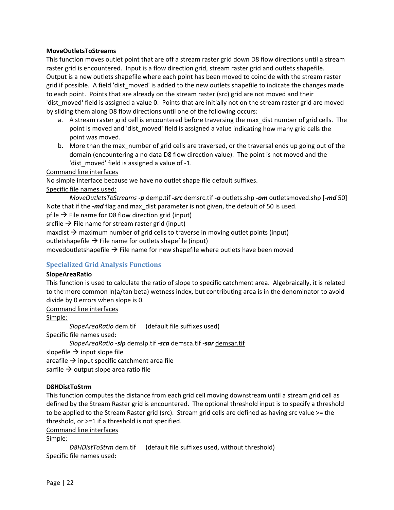#### **MoveOutletsToStreams**

This function moves outlet point that are off a stream raster grid down D8 flow directions until a stream raster grid is encountered. Input is a flow direction grid, stream raster grid and outlets shapefile. Output is a new outlets shapefile where each point has been moved to coincide with the stream raster grid if possible. A field 'dist moved' is added to the new outlets shapefile to indicate the changes made to each point. Points that are already on the stream raster (src) grid are not moved and their 'dist moved' field is assigned a value 0. Points that are initially not on the stream raster grid are moved by sliding them along D8 flow directions until one of the following occurs:

- a. A stream raster grid cell is encountered before traversing the max\_dist number of grid cells. The point is moved and 'dist\_moved' field is assigned a value indicating how many grid cells the point was moved.
- b. More than the max number of grid cells are traversed, or the traversal ends up going out of the domain (encountering a no data D8 flow direction value). The point is not moved and the 'dist moved' field is assigned a value of -1.

Command line interfaces

No simple interface because we have no outlet shape file default suffixes.

Specific file names used:

*MoveOutletsToStreams ‐p* demp.tif *‐src* demsrc.tif *‐o* outlets.shp *‐om* outletsmoved.shp [*‐md* 50] Note that if the *-md* flag and max\_dist parameter is not given, the default of 50 is used.

pfile  $\rightarrow$  File name for D8 flow direction grid (input)

srcfile  $\rightarrow$  File name for stream raster grid (input)

maxdist  $\rightarrow$  maximum number of grid cells to traverse in moving outlet points (input)

outletshapefile  $\rightarrow$  File name for outlets shapefile (input)

movedoutletshapefile  $\rightarrow$  File name for new shapefile where outlets have been moved

#### **Specialized Grid Analysis Functions**

#### **SlopeAreaRatio**

This function is used to calculate the ratio of slope to specific catchment area. Algebraically, it is related to the more common ln(a/tan beta) wetness index, but contributing area is in the denominator to avoid divide by 0 errors when slope is 0.

Command line interfaces

Simple:

*SlopeAreaRatio* dem.tif (default file suffixes used)

Specific file names used:

*SlopeAreaRatio ‐slp* demslp.tif *‐sca* demsca.tif *‐sar* demsar.tif

slopefile  $\rightarrow$  input slope file

areafile  $\rightarrow$  input specific catchment area file

sarfile  $\rightarrow$  output slope area ratio file

#### **D8HDistToStrm**

This function computes the distance from each grid cell moving downstream until a stream grid cell as defined by the Stream Raster grid is encountered. The optional threshold input is to specify a threshold to be applied to the Stream Raster grid (src). Stream grid cells are defined as having src value >= the threshold, or >=1 if a threshold is not specified.

Command line interfaces

Simple:

*D8HDistToStrm* dem.tif (default file suffixes used, without threshold) Specific file names used: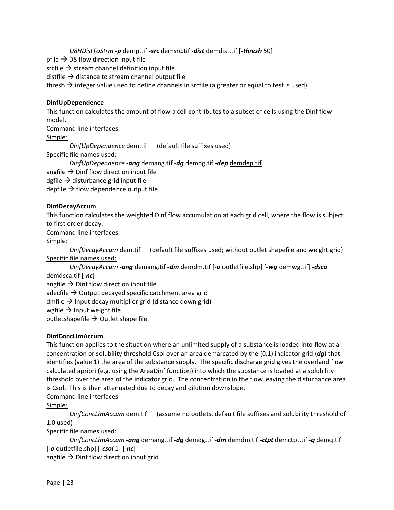*D8HDistToStrm ‐p* demp.tif *‐src* demsrc.tif *‐dist* demdist.tif [*‐thresh* 50]

pfile  $\rightarrow$  D8 flow direction input file

srcfile  $\rightarrow$  stream channel definition input file

distfile  $\rightarrow$  distance to stream channel output file

thresh  $\rightarrow$  integer value used to define channels in srcfile (a greater or equal to test is used)

# **DinfUpDependence**

This function calculates the amount of flow a cell contributes to a subset of cells using the Dinf flow model.

Command line interfaces

Simple:

*DinfUpDependence* dem.tif (default file suffixes used)

Specific file names used:

*DinfUpDependence ‐ang* demang.tif *‐dg* demdg.tif *‐dep* demdep.tif

angfile  $\rightarrow$  Dinf flow direction input file

dgfile  $\rightarrow$  disturbance grid input file

depfile  $\rightarrow$  flow dependence output file

# **DinfDecayAccum**

This function calculates the weighted Dinf flow accumulation at each grid cell, where the flow is subject to first order decay.

Command line interfaces

# Simple:

*DinfDecayAccum* dem.tif (default file suffixes used; without outlet shapefile and weight grid) Specific file names used:

*DinfDecayAccum ‐ang* demang.tif *‐dm* demdm.tif [*‐o* outletfile.shp] [*‐wg* demwg.tif] *‐dsca* demdsca.tif [*‐nc*]

angfile  $\rightarrow$  Dinf flow direction input file

adecfile  $\rightarrow$  Output decayed specific catchment area grid

dmfile  $\rightarrow$  Input decay multiplier grid (distance down grid)

wgfile  $\rightarrow$  Input weight file

outletshapefile  $\rightarrow$  Outlet shape file.

# **DinfConcLimAccum**

This function applies to the situation where an unlimited supply of a substance is loaded into flow at a concentration or solubility threshold Csol over an area demarcated by the (0,1) indicator grid (*dg*) that identifies (value 1) the area of the substance supply. The specific discharge grid gives the overland flow calculated apriori (e.g. using the AreaDinf function) into which the substance is loaded at a solubility threshold over the area of the indicator grid. The concentration in the flow leaving the disturbance area is Csol. This is then attenuated due to decay and dilution downslope.

# Command line interfaces

Simple:

*DinfConcLimAccum* dem.tif (assume no outlets, default file suffixes and solubility threshold of 1.0 used)

Specific file names used:

*DinfConcLimAccum ‐ang* demang.tif *‐dg* demdg.tif *‐dm* demdm.tif *‐ctpt* demctpt.tif *‐q* demq.tif [*‐o* outletfile.shp] [*‐csol* 1] [*‐nc*]

angfile  $\rightarrow$  Dinf flow direction input grid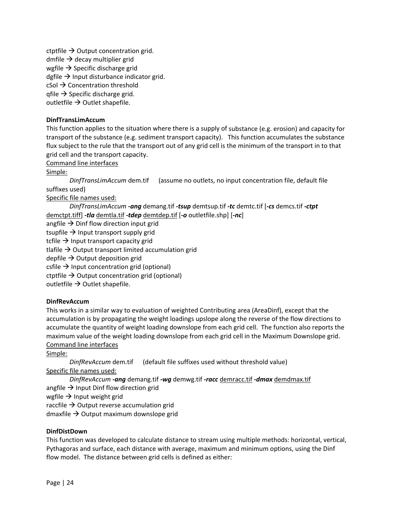ctptfile  $\rightarrow$  Output concentration grid. dmfile  $\rightarrow$  decay multiplier grid wgfile  $\rightarrow$  Specific discharge grid dgfile  $\rightarrow$  Input disturbance indicator grid.  $\text{cSol} \rightarrow \text{Concentration threshold}$ qfile  $\rightarrow$  Specific discharge grid. outletfile  $\rightarrow$  Outlet shapefile.

## **DinfTransLimAccum**

This function applies to the situation where there is a supply of substance (e.g. erosion) and capacity for transport of the substance (e.g. sediment transport capacity). This function accumulates the substance flux subject to the rule that the transport out of any grid cell is the minimum of the transport in to that grid cell and the transport capacity.

Command line interfaces

Simple:

*DinfTransLimAccum* dem.tif (assume no outlets, no input concentration file, default file suffixes used)

Specific file names used:

*DinfTransLimAccum ‐ang* demang.tif *‐tsup* demtsup.tif *‐tc* demtc.tif [*‐cs* demcs.tif *‐ctpt* demctpt.tiff] *‐tla* demtla.tif *‐tdep* demtdep.tif [*‐o* outletfile.shp] [*‐nc*] angfile  $\rightarrow$  Dinf flow direction input grid tsupfile  $\rightarrow$  Input transport supply grid tcfile  $\rightarrow$  Input transport capacity grid tlafile  $\rightarrow$  Output transport limited accumulation grid depfile  $\rightarrow$  Output deposition grid csfile  $\rightarrow$  Input concentration grid (optional) ctptfile  $\rightarrow$  Output concentration grid (optional) outletfile  $\rightarrow$  Outlet shapefile.

#### **DinfRevAccum**

This works in a similar way to evaluation of weighted Contributing area (AreaDinf), except that the accumulation is by propagating the weight loadings upslope along the reverse of the flow directions to accumulate the quantity of weight loading downslope from each grid cell. The function also reports the maximum value of the weight loading downslope from each grid cell in the Maximum Downslope grid. Command line interfaces

Simple:

*DinfRevAccum* dem.tif (default file suffixes used without threshold value) Specific file names used:

*DinfRevAccum ‐ang* demang.tif *‐wg* demwg.tif *‐racc* demracc.tif *‐dmax* demdmax.tif angfile  $\rightarrow$  Input Dinf flow direction grid wgfile  $\rightarrow$  Input weight grid

raccfile  $\rightarrow$  Output reverse accumulation grid

dmaxfile  $\rightarrow$  Output maximum downslope grid

#### **DinfDistDown**

This function was developed to calculate distance to stream using multiple methods: horizontal, vertical, Pythagoras and surface, each distance with average, maximum and minimum options, using the Dinf flow model. The distance between grid cells is defined as either: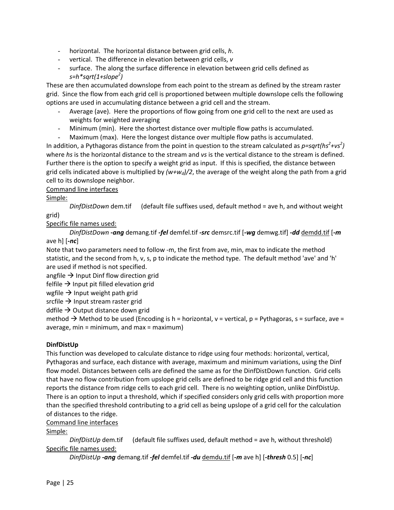- horizontal. The horizontal distance between grid cells, *h*.
- vertical. The difference in elevation between grid cells, *v*
- surface. The along the surface difference in elevation between grid cells defined as *s=h\*sqrt(1+slope<sup>2</sup> )*

These are then accumulated downslope from each point to the stream as defined by the stream raster grid. Since the flow from each grid cell is proportioned between multiple downslope cells the following options are used in accumulating distance between a grid cell and the stream.

- Average (ave). Here the proportions of flow going from one grid cell to the next are used as weights for weighted averaging
- Minimum (min). Here the shortest distance over multiple flow paths is accumulated.
- Maximum (max). Here the longest distance over multiple flow paths is accumulated.

In addition, a Pythagoras distance from the point in question to the stream calculated as  $p = sqrt(hs^2 + vs^2)$ where *hs* is the horizontal distance to the stream and *vs* is the vertical distance to the stream is defined. Further there is the option to specify a weight grid as input. If this is specified, the distance between grid cells indicated above is multiplied by  $(w+w_d)/2$ , the average of the weight along the path from a grid cell to its downslope neighbor.

# Command line interfaces

# Simple:

*DinfDistDown* dem.tif (default file suffixes used, default method = ave h, and without weight grid)

Specific file names used:

*DinfDistDown ‐ang* demang.tif *‐fel* demfel.tif *‐src* demsrc.tif [*‐wg* demwg.tif] *‐dd* demdd.tif [*‐m* ave h] [*‐nc*]

Note that two parameters need to follow ‐m, the first from ave, min, max to indicate the method statistic, and the second from h, v, s, p to indicate the method type. The default method 'ave' and 'h' are used if method is not specified.

angfile  $\rightarrow$  Input Dinf flow direction grid

felfile  $\rightarrow$  Input pit filled elevation grid

wgfile  $\rightarrow$  Input weight path grid

srcfile  $\rightarrow$  Input stream raster grid

ddfile  $\rightarrow$  Output distance down grid

method  $\rightarrow$  Method to be used (Encoding is h = horizontal, v = vertical, p = Pythagoras, s = surface, ave = average,  $min = minimum$ , and  $max = maximum$ )

# **DinfDistUp**

This function was developed to calculate distance to ridge using four methods: horizontal, vertical, Pythagoras and surface, each distance with average, maximum and minimum variations, using the Dinf flow model. Distances between cells are defined the same as for the DinfDistDown function. Grid cells that have no flow contribution from upslope grid cells are defined to be ridge grid cell and this function reports the distance from ridge cells to each grid cell. There is no weighting option, unlike DinfDistUp. There is an option to input a threshold, which if specified considers only grid cells with proportion more than the specified threshold contributing to a grid cell as being upslope of a grid cell for the calculation of distances to the ridge.

Command line interfaces

Simple:

*DinfDistUp* dem.tif (default file suffixes used, default method = ave h, without threshold) Specific file names used:

*DinfDistUp ‐ang* demang.tif *‐fel* demfel.tif *‐du* demdu.tif [*‐m* ave h] [*‐thresh* 0.5] [*‐nc*]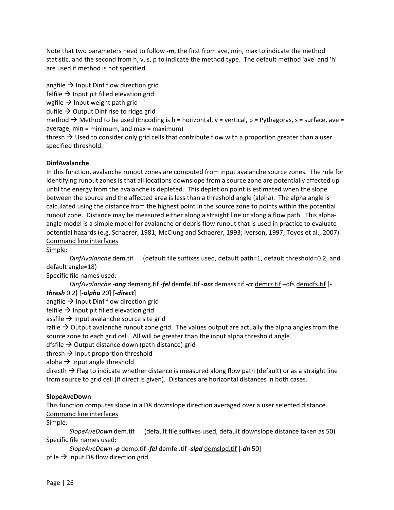Note that two parameters need to follow *‐m*, the first from ave, min, max to indicate the method statistic, and the second from h, v, s, p to indicate the method type. The default method 'ave' and 'h' are used if method is not specified.

angfile  $\rightarrow$  Input Dinf flow direction grid felfile  $\rightarrow$  Input pit filled elevation grid wgfile  $\rightarrow$  Input weight path grid dufile  $\rightarrow$  Output Dinf rise to ridge grid method  $\rightarrow$  Method to be used (Encoding is h = horizontal, v = vertical, p = Pythagoras, s = surface, ave = average, min = minimum, and max = maximum) thresh  $\rightarrow$  Used to consider only grid cells that contribute flow with a proportion greater than a user specified threshold.

## **DinfAvalanche**

In this function, avalanche runout zones are computed from input avalanche source zones. The rule for identifying runout zones is that all locations downslope from a source zone are potentially affected up until the energy from the avalanche is depleted. This depletion point is estimated when the slope between the source and the affected area is less than a threshold angle (alpha). The alpha angle is calculated using the distance from the highest point in the source zone to points within the potential runout zone. Distance may be measured either along a straight line or along a flow path. This alpha‐ angle model is a simple model for avalanche or debris flow runout that is used in practice to evaluate potential hazards (e.g. Schaerer, 1981; McClung and Schaerer, 1993; Iverson, 1997; Toyos et al., 2007). Command line interfaces

Simple:

*DinfAvalanche* dem.tif (default file suffixes used, default path=1, default threshold=0.2, and default angle=18)

Specific file names used:

*DinfAvalanche ‐ang* demang.tif *‐fel* demfel.tif *‐ass* demass.tif *‐rz* demrz.tif –dfs demdfs.tif [*‐*

*thresh* 0.2] [*‐alpha* 20] [*‐direct*]

angfile  $\rightarrow$  Input Dinf flow direction grid

felfile  $\rightarrow$  Input pit filled elevation grid

assfile  $\rightarrow$  Input avalanche source site grid

rzfile  $\rightarrow$  Output avalanche runout zone grid. The values output are actually the alpha angles from the source zone to each grid cell. All will be greater than the input alpha threshold angle.

dfsfile  $\rightarrow$  Output distance down (path distance) grid

thresh  $\rightarrow$  Input proportion threshold

alpha  $\rightarrow$  Input angle threshold

directh  $\rightarrow$  Flag to indicate whether distance is measured along flow path (default) or as a straight line from source to grid cell (if direct is given). Distances are horizontal distances in both cases.

#### **SlopeAveDown**

This function computes slope in a D8 downslope direction averaged over a user selected distance. Command line interfaces

Simple:

*SlopeAveDown* dem.tif (default file suffixes used, default downslope distance taken as 50) Specific file names used:

*SlopeAveDown ‐p* demp.tif *‐fel* demfel.tif *‐slpd* demslpd.tif [*‐dn* 50] pfile  $\rightarrow$  Input D8 flow direction grid